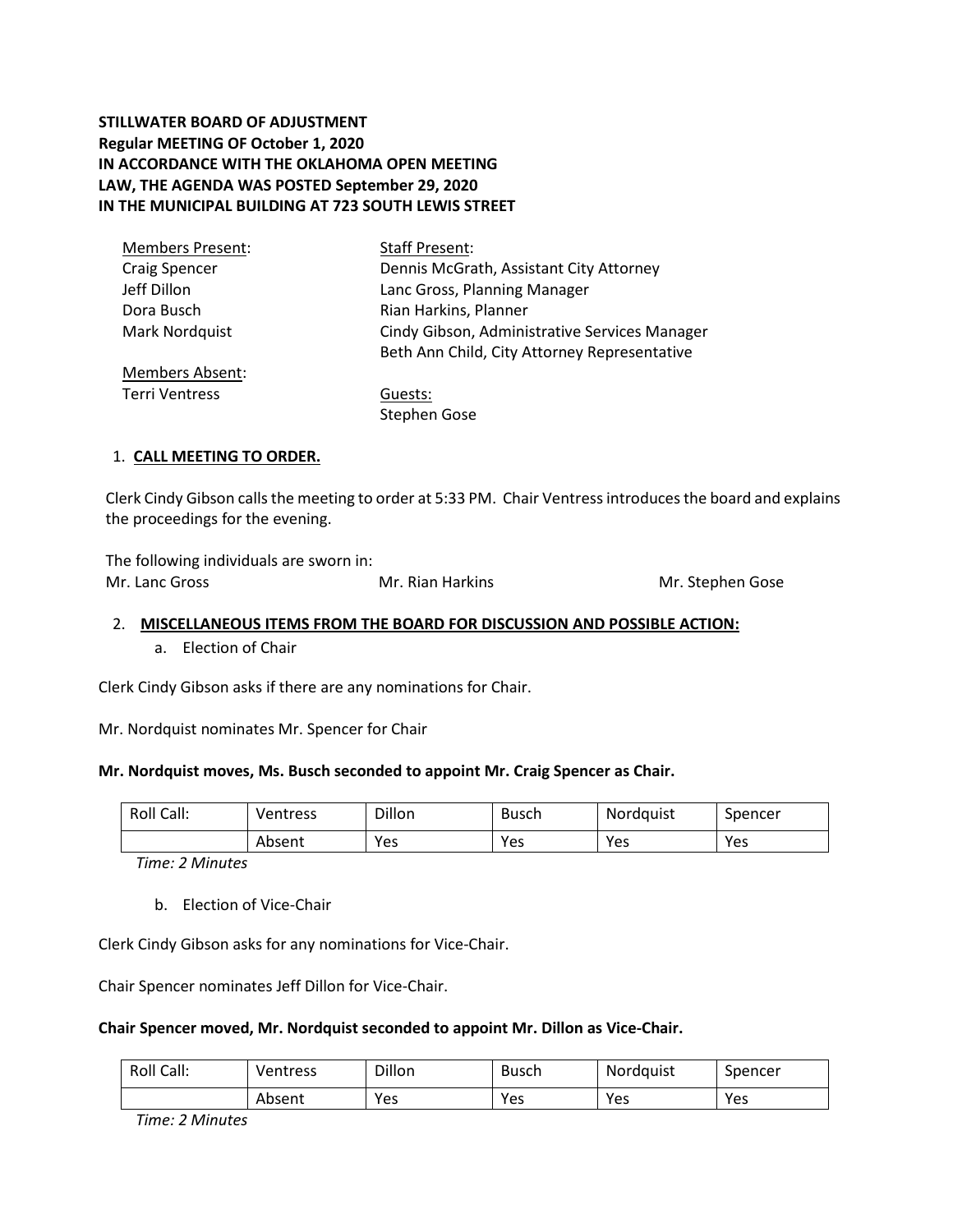# **STILLWATER BOARD OF ADJUSTMENT Regular MEETING OF October 1, 2020 IN ACCORDANCE WITH THE OKLAHOMA OPEN MEETING LAW, THE AGENDA WAS POSTED September 29, 2020 IN THE MUNICIPAL BUILDING AT 723 SOUTH LEWIS STREET**

| <b>Members Present:</b> | <b>Staff Present:</b>                         |
|-------------------------|-----------------------------------------------|
| <b>Craig Spencer</b>    | Dennis McGrath, Assistant City Attorney       |
| Jeff Dillon             | Lanc Gross, Planning Manager                  |
| Dora Busch              | Rian Harkins, Planner                         |
| Mark Nordquist          | Cindy Gibson, Administrative Services Manager |
|                         | Beth Ann Child, City Attorney Representative  |
| <b>Members Absent:</b>  |                                               |
| Terri Ventress          | Guests:                                       |

Stephen Gose

## 1. **CALL MEETING TO ORDER.**

Clerk Cindy Gibson calls the meeting to order at 5:33 PM. Chair Ventressintroduces the board and explains the proceedings for the evening.

The following individuals are sworn in: Mr. Lanc Gross **Mr. Rian Harkins** Mr. Stephen Gose

#### 2. **MISCELLANEOUS ITEMS FROM THE BOARD FOR DISCUSSION AND POSSIBLE ACTION:**

a. Election of Chair

Clerk Cindy Gibson asks if there are any nominations for Chair.

Mr. Nordquist nominates Mr. Spencer for Chair

#### **Mr. Nordquist moves, Ms. Busch seconded to appoint Mr. Craig Spencer as Chair.**

| Roll Call: | Ventress | Dillon | Busch | Nordquist | Spencer |
|------------|----------|--------|-------|-----------|---------|
|            | Absent   | Yes    | Yes   | Yes       | Yes     |

*Time: 2 Minutes*

b. Election of Vice-Chair

Clerk Cindy Gibson asks for any nominations for Vice-Chair.

Chair Spencer nominates Jeff Dillon for Vice-Chair.

#### **Chair Spencer moved, Mr. Nordquist seconded to appoint Mr. Dillon as Vice-Chair.**

| Roll Call: | Ventress | Dillon | Busch | <b>Nordquist</b> | Spencer |
|------------|----------|--------|-------|------------------|---------|
|            | Absent   | Yes    | Yes   | Yes              | Yes     |

*Time: 2 Minutes*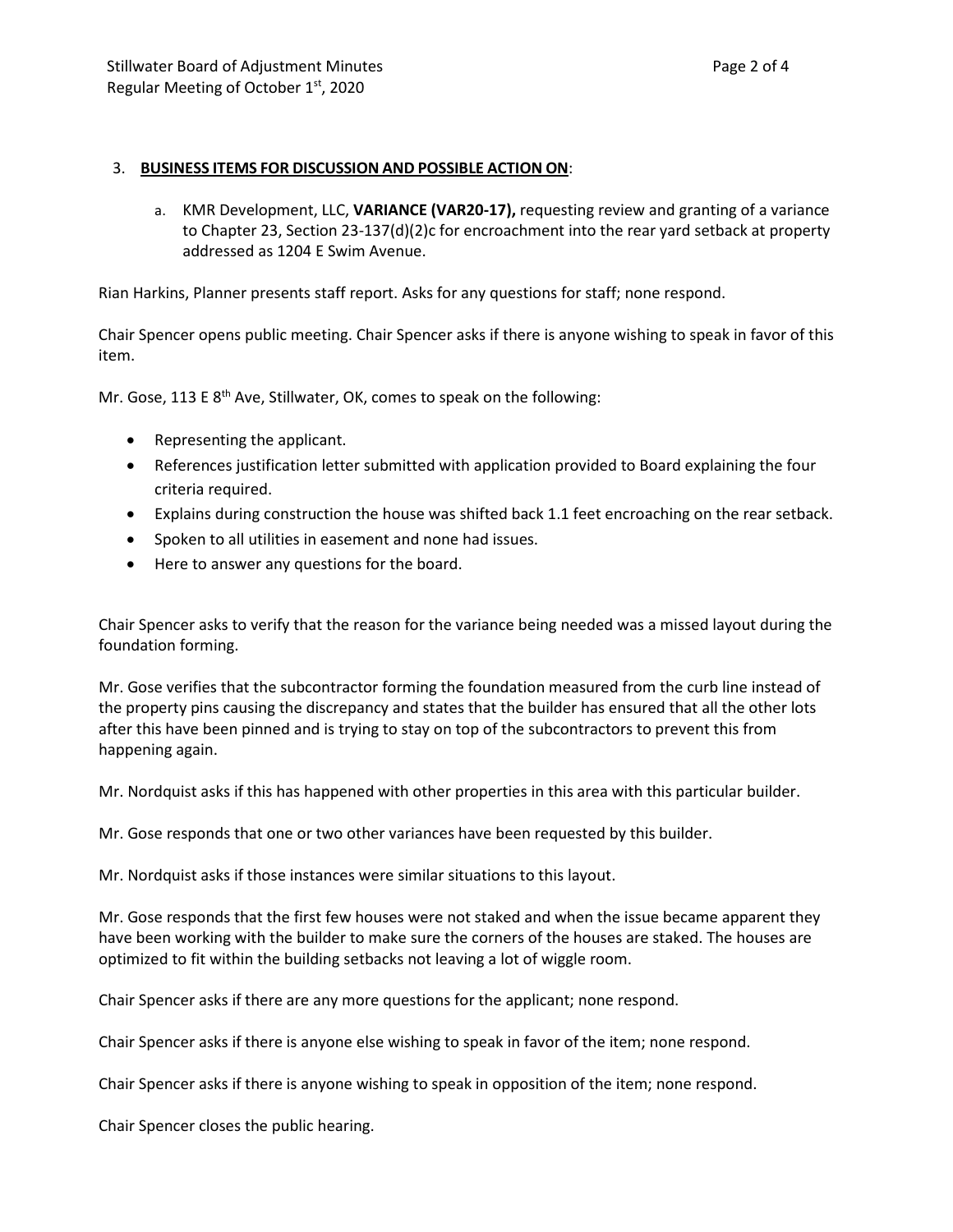## 3. **BUSINESS ITEMS FOR DISCUSSION AND POSSIBLE ACTION ON**:

a. KMR Development, LLC, **VARIANCE (VAR20-17),** requesting review and granting of a variance to Chapter 23, Section 23-137(d)(2)c for encroachment into the rear yard setback at property addressed as 1204 E Swim Avenue.

Rian Harkins, Planner presents staff report. Asks for any questions for staff; none respond.

Chair Spencer opens public meeting. Chair Spencer asks if there is anyone wishing to speak in favor of this item.

Mr. Gose, 113 E 8<sup>th</sup> Ave, Stillwater, OK, comes to speak on the following:

- Representing the applicant.
- References justification letter submitted with application provided to Board explaining the four criteria required.
- Explains during construction the house was shifted back 1.1 feet encroaching on the rear setback.
- Spoken to all utilities in easement and none had issues.
- Here to answer any questions for the board.

Chair Spencer asks to verify that the reason for the variance being needed was a missed layout during the foundation forming.

Mr. Gose verifies that the subcontractor forming the foundation measured from the curb line instead of the property pins causing the discrepancy and states that the builder has ensured that all the other lots after this have been pinned and is trying to stay on top of the subcontractors to prevent this from happening again.

Mr. Nordquist asks if this has happened with other properties in this area with this particular builder.

Mr. Gose responds that one or two other variances have been requested by this builder.

Mr. Nordquist asks if those instances were similar situations to this layout.

Mr. Gose responds that the first few houses were not staked and when the issue became apparent they have been working with the builder to make sure the corners of the houses are staked. The houses are optimized to fit within the building setbacks not leaving a lot of wiggle room.

Chair Spencer asks if there are any more questions for the applicant; none respond.

Chair Spencer asks if there is anyone else wishing to speak in favor of the item; none respond.

Chair Spencer asks if there is anyone wishing to speak in opposition of the item; none respond.

Chair Spencer closes the public hearing.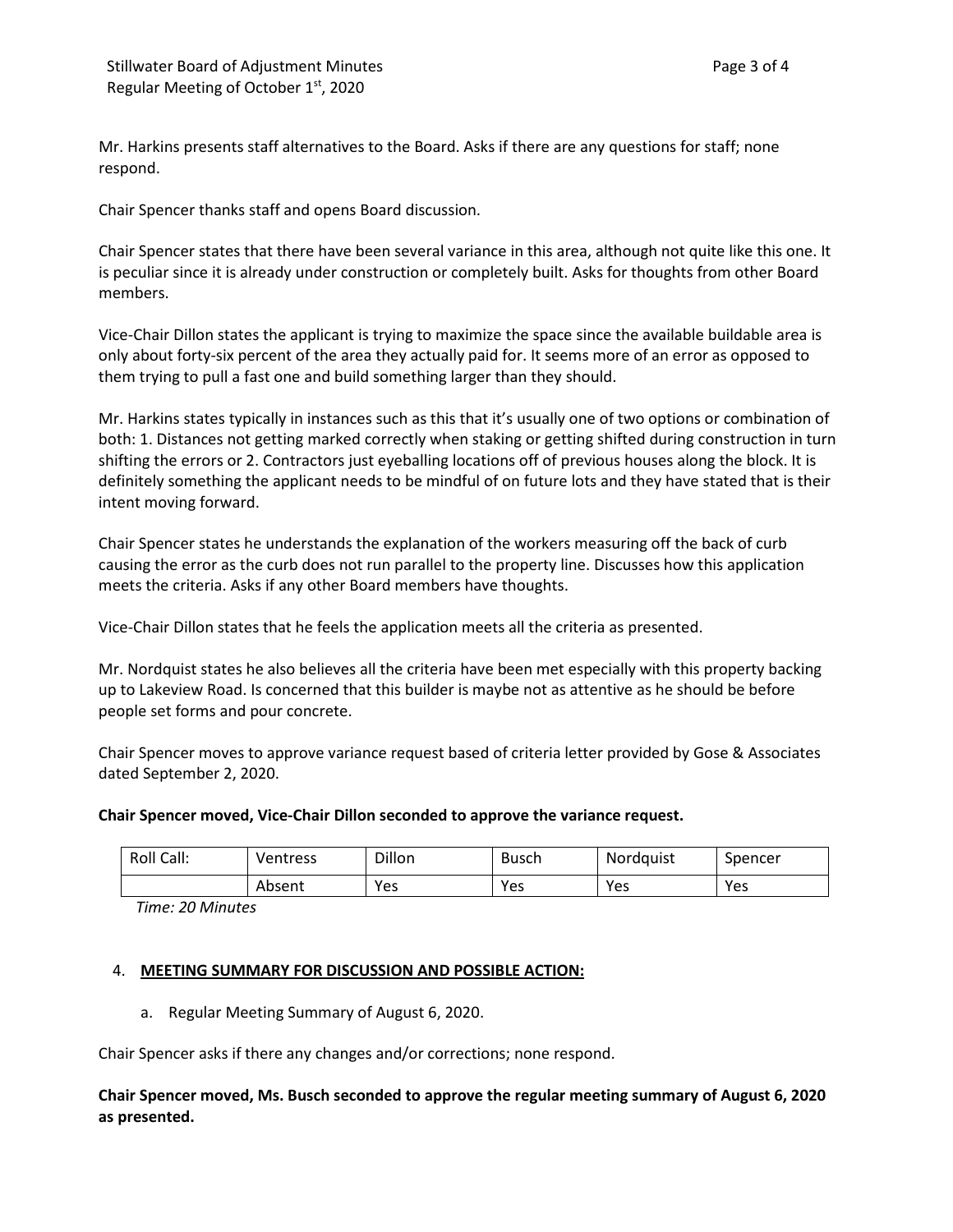Mr. Harkins presents staff alternatives to the Board. Asks if there are any questions for staff; none respond.

Chair Spencer thanks staff and opens Board discussion.

Chair Spencer states that there have been several variance in this area, although not quite like this one. It is peculiar since it is already under construction or completely built. Asks for thoughts from other Board members.

Vice-Chair Dillon states the applicant is trying to maximize the space since the available buildable area is only about forty-six percent of the area they actually paid for. It seems more of an error as opposed to them trying to pull a fast one and build something larger than they should.

Mr. Harkins states typically in instances such as this that it's usually one of two options or combination of both: 1. Distances not getting marked correctly when staking or getting shifted during construction in turn shifting the errors or 2. Contractors just eyeballing locations off of previous houses along the block. It is definitely something the applicant needs to be mindful of on future lots and they have stated that is their intent moving forward.

Chair Spencer states he understands the explanation of the workers measuring off the back of curb causing the error as the curb does not run parallel to the property line. Discusses how this application meets the criteria. Asks if any other Board members have thoughts.

Vice-Chair Dillon states that he feels the application meets all the criteria as presented.

Mr. Nordquist states he also believes all the criteria have been met especially with this property backing up to Lakeview Road. Is concerned that this builder is maybe not as attentive as he should be before people set forms and pour concrete.

Chair Spencer moves to approve variance request based of criteria letter provided by Gose & Associates dated September 2, 2020.

### **Chair Spencer moved, Vice-Chair Dillon seconded to approve the variance request.**

| Roll Call: | Ventress | Dillon | <b>Busch</b> | Nordauist | Spencer |
|------------|----------|--------|--------------|-----------|---------|
|            | Absent   | Yes    | Yes          | Yes       | Yes     |

*Time: 20 Minutes*

## 4. **MEETING SUMMARY FOR DISCUSSION AND POSSIBLE ACTION:**

a. Regular Meeting Summary of August 6, 2020.

Chair Spencer asks if there any changes and/or corrections; none respond.

**Chair Spencer moved, Ms. Busch seconded to approve the regular meeting summary of August 6, 2020 as presented.**